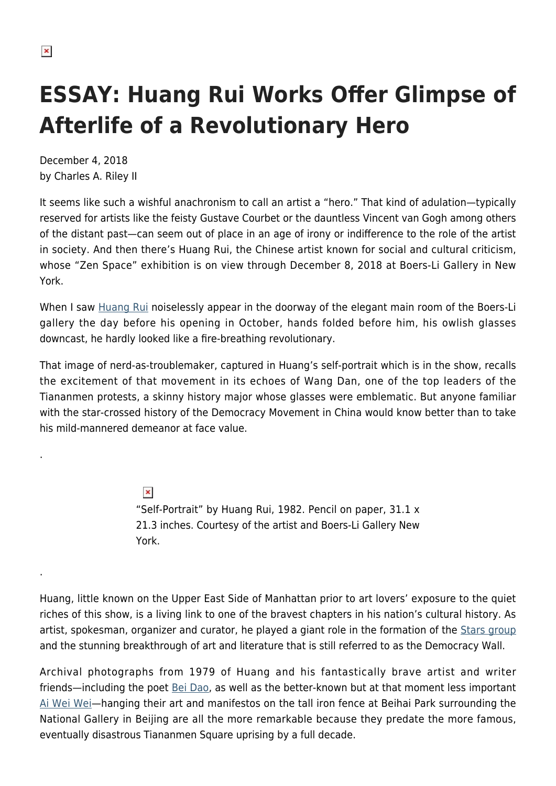.

.

## **ESSAY: Huang Rui Works Offer Glimpse of Afterlife of a Revolutionary Hero**

December 4, 2018 by Charles A. Riley II

It seems like such a wishful anachronism to call an artist a "hero." That kind of adulation—typically reserved for artists like the feisty Gustave Courbet or the dauntless Vincent van Gogh among others of the distant past—can seem out of place in an age of irony or indifference to the role of the artist in society. And then there's Huang Rui, the Chinese artist known for social and cultural criticism, whose "Zen Space" exhibition is on view through December 8, 2018 at Boers-Li Gallery in New York.

When I saw [Huang Rui](https://en.wikipedia.org/wiki/Huang_Rui) noiselessly appear in the doorway of the elegant main room of the Boers-Li gallery the day before his opening in October, hands folded before him, his owlish glasses downcast, he hardly looked like a fire-breathing revolutionary.

That image of nerd-as-troublemaker, captured in Huang's self-portrait which is in the show, recalls the excitement of that movement in its echoes of Wang Dan, one of the top leaders of the Tiananmen protests, a skinny history major whose glasses were emblematic. But anyone familiar with the star-crossed history of the Democracy Movement in China would know better than to take his mild-mannered demeanor at face value.

> $\pmb{\times}$ "Self-Portrait" by Huang Rui, 1982. Pencil on paper, 31.1 x 21.3 inches. Courtesy of the artist and Boers-Li Gallery New York.

Huang, little known on the Upper East Side of Manhattan prior to art lovers' exposure to the quiet riches of this show, is a living link to one of the bravest chapters in his nation's cultural history. As artist, spokesman, organizer and curator, he played a giant role in the formation of the [Stars group](https://www.tate.org.uk/art/art-terms/s/stars-group) and the stunning breakthrough of art and literature that is still referred to as the Democracy Wall.

Archival photographs from 1979 of Huang and his fantastically brave artist and writer friends—including the poet [Bei Dao,](https://www.poetryfoundation.org/poets/bei-dao) as well as the better-known but at that moment less important [Ai Wei Wei](https://hamptonsarthub.com/2015/03/23/art-review-ai-weiweis-large-on-alcatraz/)—hanging their art and manifestos on the tall iron fence at Beihai Park surrounding the National Gallery in Beijing are all the more remarkable because they predate the more famous, eventually disastrous Tiananmen Square uprising by a full decade.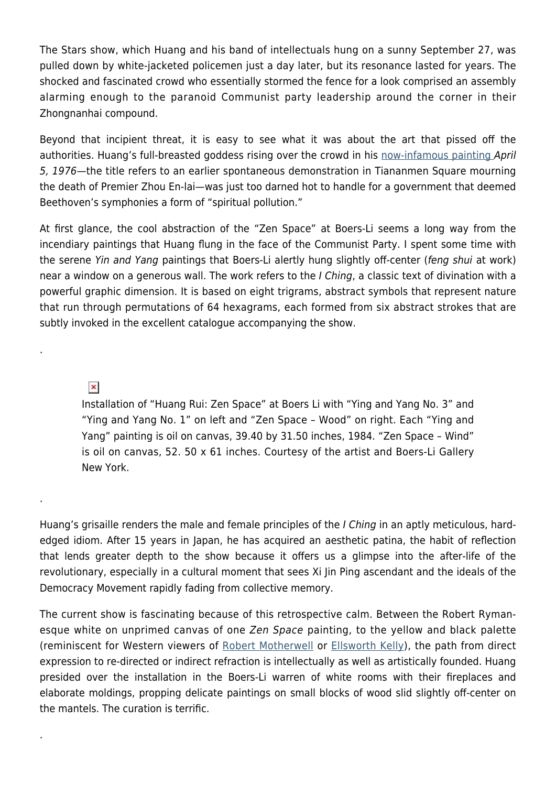The Stars show, which Huang and his band of intellectuals hung on a sunny September 27, was pulled down by white-jacketed policemen just a day later, but its resonance lasted for years. The shocked and fascinated crowd who essentially stormed the fence for a look comprised an assembly alarming enough to the paranoid Communist party leadership around the corner in their Zhongnanhai compound.

Beyond that incipient threat, it is easy to see what it was about the art that pissed off the authorities. Huang's full-breasted goddess rising over the crowd in his [now-infamous painting](https://www.afr.com/leadership/huang-rui-the-artist-who-took-on-china-and-mao-20160822-gqxx7o) April 5, 1976—the title refers to an earlier spontaneous demonstration in Tiananmen Square mourning the death of Premier Zhou En-lai—was just too darned hot to handle for a government that deemed Beethoven's symphonies a form of "spiritual pollution."

At first glance, the cool abstraction of the "Zen Space" at Boers-Li seems a long way from the incendiary paintings that Huang flung in the face of the Communist Party. I spent some time with the serene Yin and Yang paintings that Boers-Li alertly hung slightly off-center (feng shui at work) near a window on a generous wall. The work refers to the I Ching, a classic text of divination with a powerful graphic dimension. It is based on eight trigrams, abstract symbols that represent nature that run through permutations of 64 hexagrams, each formed from six abstract strokes that are subtly invoked in the excellent catalogue accompanying the show.

 $\pmb{\times}$ 

.

.

.

Installation of "Huang Rui: Zen Space" at Boers Li with "Ying and Yang No. 3" and "Ying and Yang No. 1" on left and "Zen Space – Wood" on right. Each "Ying and Yang" painting is oil on canvas, 39.40 by 31.50 inches, 1984. "Zen Space – Wind" is oil on canvas, 52. 50 x 61 inches. Courtesy of the artist and Boers-Li Gallery New York.

Huang's grisaille renders the male and female principles of the *I Ching* in an aptly meticulous, hardedged idiom. After 15 years in Japan, he has acquired an aesthetic patina, the habit of reflection that lends greater depth to the show because it offers us a glimpse into the after-life of the revolutionary, especially in a cultural moment that sees Xi Jin Ping ascendant and the ideals of the Democracy Movement rapidly fading from collective memory.

The current show is fascinating because of this retrospective calm. Between the Robert Rymanesque white on unprimed canvas of one Zen Space painting, to the yellow and black palette (reminiscent for Western viewers of [Robert Motherwell](https://hamptonsarthub.com/2017/09/29/reviews-art-review-motherwell-and-case-paintings-reflect-two-views-of-spontaneity/) or [Ellsworth Kelly\)](https://hamptonsarthub.com/2018/09/11/reviews-art-review-ellsworth-kelly/), the path from direct expression to re-directed or indirect refraction is intellectually as well as artistically founded. Huang presided over the installation in the Boers-Li warren of white rooms with their fireplaces and elaborate moldings, propping delicate paintings on small blocks of wood slid slightly off-center on the mantels. The curation is terrific.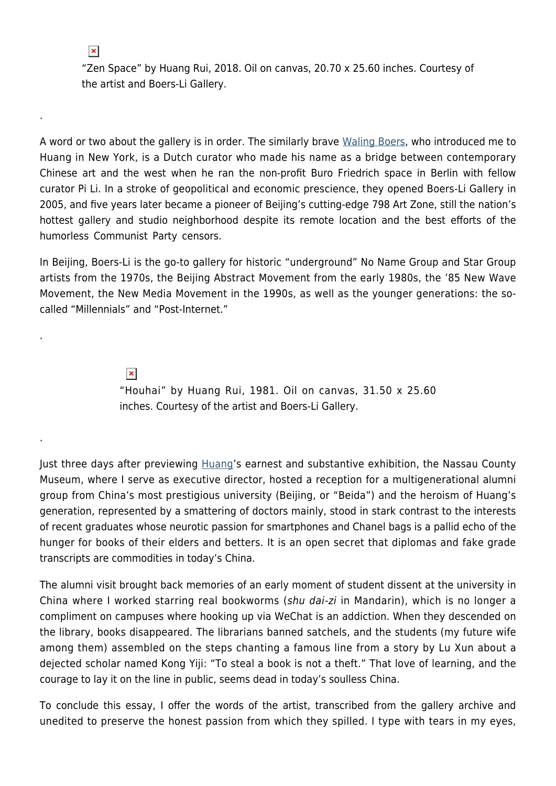$\pmb{\times}$ 

.

.

.

"Zen Space" by Huang Rui, 2018. Oil on canvas, 20.70 x 25.60 inches. Courtesy of the artist and Boers-Li Gallery.

A word or two about the gallery is in order. The similarly brave [Waling Boers,](http://www.boersligallery.com/about/) who introduced me to Huang in New York, is a Dutch curator who made his name as a bridge between contemporary Chinese art and the west when he ran the non-profit Buro Friedrich space in Berlin with fellow curator Pi Li. In a stroke of geopolitical and economic prescience, they opened Boers-Li Gallery in 2005, and five years later became a pioneer of Beijing's cutting-edge 798 Art Zone, still the nation's hottest gallery and studio neighborhood despite its remote location and the best efforts of the humorless Communist Party censors.

In Beijing, Boers-Li is the go-to gallery for historic "underground" No Name Group and Star Group artists from the 1970s, the Beijing Abstract Movement from the early 1980s, the '85 New Wave Movement, the New Media Movement in the 1990s, as well as the younger generations: the socalled "Millennials" and "Post-Internet."

> $\pmb{\times}$ "Houhai" by Huang Rui, 1981. Oil on canvas, 31.50 x 25.60 inches. Courtesy of the artist and Boers-Li Gallery.

Just three days after previewing **[Huang'](http://www.boersligallery.com/artists/huang-rui/)s earnest and substantive exhibition**, the Nassau County Museum, where I serve as executive director, hosted a reception for a multigenerational alumni group from China's most prestigious university (Beijing, or "Beida") and the heroism of Huang's generation, represented by a smattering of doctors mainly, stood in stark contrast to the interests of recent graduates whose neurotic passion for smartphones and Chanel bags is a pallid echo of the hunger for books of their elders and betters. It is an open secret that diplomas and fake grade transcripts are commodities in today's China.

The alumni visit brought back memories of an early moment of student dissent at the university in China where I worked starring real bookworms (shu dai-zi in Mandarin), which is no longer a compliment on campuses where hooking up via WeChat is an addiction. When they descended on the library, books disappeared. The librarians banned satchels, and the students (my future wife among them) assembled on the steps chanting a famous line from a story by Lu Xun about a dejected scholar named Kong Yiji: "To steal a book is not a theft." That love of learning, and the courage to lay it on the line in public, seems dead in today's soulless China.

To conclude this essay, I offer the words of the artist, transcribed from the gallery archive and unedited to preserve the honest passion from which they spilled. I type with tears in my eyes,